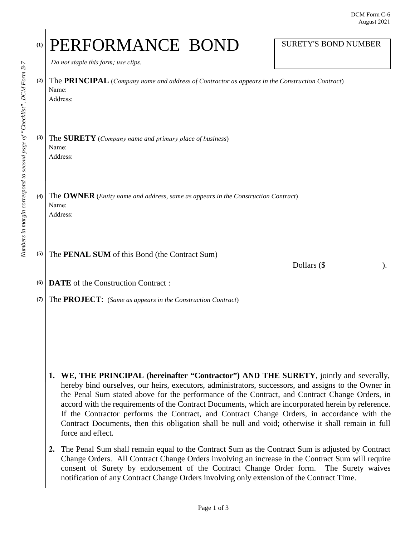## (1) PERFORMANCE BOND SURETY'S BOND NUMBER

*Do not staple this form; use clips.*

**(2)**  The **PRINCIPAL** (*Company name and address of Contractor as appears in the Construction Contract*) Name:

Address:

**(3)**  The **SURETY** (*Company name and primary place of business*) Name: Address:

**(4)** The **OWNER** (*Entity name and address, same as appears in the Construction Contract*) Name: Address:

**(5)** The **PENAL SUM** of this Bond (the Contract Sum)

Dollars  $(\$  ).

**(6) DATE** of the Construction Contract :

**(7)** The **PROJECT**: (*Same as appears in the Construction Contract*)

- **1. WE, THE PRINCIPAL (hereinafter "Contractor") AND THE SURETY**, jointly and severally, hereby bind ourselves, our heirs, executors, administrators, successors, and assigns to the Owner in the Penal Sum stated above for the performance of the Contract, and Contract Change Orders, in accord with the requirements of the Contract Documents, which are incorporated herein by reference. If the Contractor performs the Contract, and Contract Change Orders, in accordance with the Contract Documents, then this obligation shall be null and void; otherwise it shall remain in full force and effect.
- **2.** The Penal Sum shall remain equal to the Contract Sum as the Contract Sum is adjusted by Contract Change Orders. All Contract Change Orders involving an increase in the Contract Sum will require consent of Surety by endorsement of the Contract Change Order form. The Surety waives notification of any Contract Change Orders involving only extension of the Contract Time.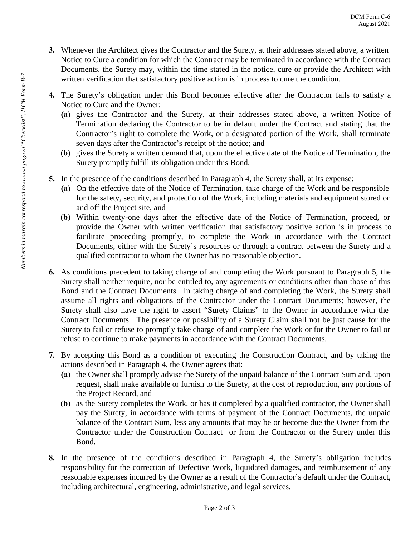- **3.** Whenever the Architect gives the Contractor and the Surety, at their addresses stated above, a written Notice to Cure a condition for which the Contract may be terminated in accordance with the Contract Documents, the Surety may, within the time stated in the notice, cure or provide the Architect with written verification that satisfactory positive action is in process to cure the condition.
- **4.** The Surety's obligation under this Bond becomes effective after the Contractor fails to satisfy a Notice to Cure and the Owner:
	- **(a)** gives the Contractor and the Surety, at their addresses stated above, a written Notice of Termination declaring the Contractor to be in default under the Contract and stating that the Contractor's right to complete the Work, or a designated portion of the Work, shall terminate seven days after the Contractor's receipt of the notice; and
	- **(b)** gives the Surety a written demand that, upon the effective date of the Notice of Termination, the Surety promptly fulfill its obligation under this Bond.
- **5.** In the presence of the conditions described in Paragraph 4, the Surety shall, at its expense:
	- **(a)** On the effective date of the Notice of Termination, take charge of the Work and be responsible for the safety, security, and protection of the Work, including materials and equipment stored on and off the Project site, and
	- **(b)** Within twenty-one days after the effective date of the Notice of Termination, proceed, or provide the Owner with written verification that satisfactory positive action is in process to facilitate proceeding promptly, to complete the Work in accordance with the Contract Documents, either with the Surety's resources or through a contract between the Surety and a qualified contractor to whom the Owner has no reasonable objection.
- **6.** As conditions precedent to taking charge of and completing the Work pursuant to Paragraph 5, the Surety shall neither require, nor be entitled to, any agreements or conditions other than those of this Bond and the Contract Documents. In taking charge of and completing the Work, the Surety shall assume all rights and obligations of the Contractor under the Contract Documents; however, the Surety shall also have the right to assert "Surety Claims" to the Owner in accordance with the Contract Documents. The presence or possibility of a Surety Claim shall not be just cause for the Surety to fail or refuse to promptly take charge of and complete the Work or for the Owner to fail or refuse to continue to make payments in accordance with the Contract Documents.
- **7.** By accepting this Bond as a condition of executing the Construction Contract, and by taking the actions described in Paragraph 4, the Owner agrees that:
	- **(a)** the Owner shall promptly advise the Surety of the unpaid balance of the Contract Sum and, upon request, shall make available or furnish to the Surety, at the cost of reproduction, any portions of the Project Record, and
	- **(b)** as the Surety completes the Work, or has it completed by a qualified contractor, the Owner shall pay the Surety, in accordance with terms of payment of the Contract Documents, the unpaid balance of the Contract Sum, less any amounts that may be or become due the Owner from the Contractor under the Construction Contract or from the Contractor or the Surety under this Bond.
- **8.** In the presence of the conditions described in Paragraph 4, the Surety's obligation includes responsibility for the correction of Defective Work, liquidated damages, and reimbursement of any reasonable expenses incurred by the Owner as a result of the Contractor's default under the Contract, including architectural, engineering, administrative, and legal services.